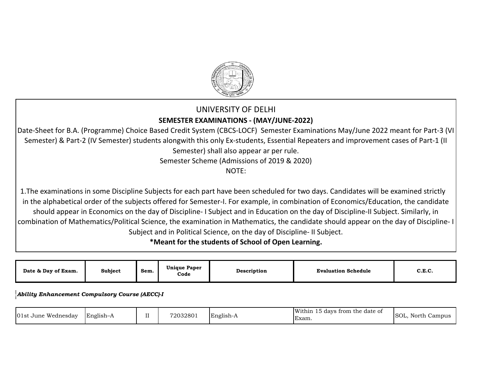

# UNIVERSITY OF DELHI **SEMESTER EXAMINATIONS - (MAY/JUNE-2022)**

Date-Sheet for B.A. (Programme) Choice Based Credit System (CBCS-LOCF) Semester Examinations May/June 2022 meant for Part-3 (VI Semester) & Part-2 (IV Semester) students alongwith this only Ex-students, Essential Repeaters and improvement cases of Part-1 (II Semester) shall also appear ar per rule.

Semester Scheme (Admissions of 2019 & 2020)

NOTE:

1. The examinations in some Discipline Subjects for each part have been scheduled for two days. Candidates will be examined strictly in the alphabetical order of the subjects offered for Semester-I. For example, in combination of Economics/Education, the candidate should appear in Economics on the day of Discipline- I Subject and in Education on the day of Discipline-II Subject. Similarly, in combination of Mathematics/Political Science, the examination in Mathematics, the candidate should appear on the day of Discipline- I Subject and in Political Science, on the day of Discipline- II Subject.

**\*Meant for the students of School of Open Learning.** 

| Date & Day of Exam. | <b>Subject</b> | Sem. | <b>Unique Paper</b><br>Code | <b>Description</b> | <b>Evaluation Schedule</b> | . . <i>.</i><br>い心し |
|---------------------|----------------|------|-----------------------------|--------------------|----------------------------|---------------------|
|---------------------|----------------|------|-----------------------------|--------------------|----------------------------|---------------------|

*Ability Enhancement Compulsory Course (AECC)-I* 

| 01st<br>Wednesday<br>í June | .<br>--<br>∣English– <i>⊦</i> | $-$<br> | 72032801 | English-A | Within<br>r the date of<br>trom<br>davs<br>Exam. | SOL.<br>North<br>. Campus |
|-----------------------------|-------------------------------|---------|----------|-----------|--------------------------------------------------|---------------------------|
|-----------------------------|-------------------------------|---------|----------|-----------|--------------------------------------------------|---------------------------|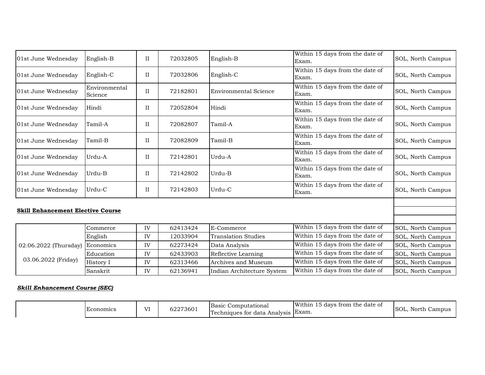| 01st June Wednesday                      | English-B                | $_{\rm II}$ | 72032805 | English-B                  | Within 15 days from the date of<br>Exam. | SOL, North Campus |
|------------------------------------------|--------------------------|-------------|----------|----------------------------|------------------------------------------|-------------------|
| 01st June Wednesday                      | English-C                | П           | 72032806 | English-C                  | Within 15 days from the date of<br>Exam. | SOL, North Campus |
| 01st June Wednesday                      | Environmental<br>Science | $_{\rm II}$ | 72182801 | Environmental Science      | Within 15 days from the date of<br>Exam. | SOL, North Campus |
| 01st June Wednesday                      | Hindi                    | $_{\rm II}$ | 72052804 | Hindi                      | Within 15 days from the date of<br>Exam. | SOL, North Campus |
| 01st June Wednesday                      | Tamil-A                  | $_{\rm II}$ | 72082807 | Tamil-A                    | Within 15 days from the date of<br>Exam. | SOL, North Campus |
| 01st June Wednesday                      | Tamil-B                  | $_{\rm II}$ | 72082809 | Tamil-B                    | Within 15 days from the date of<br>Exam. | SOL, North Campus |
| 01st June Wednesday                      | Urdu-A                   | $_{\rm II}$ | 72142801 | Urdu-A                     | Within 15 days from the date of<br>Exam. | SOL, North Campus |
| 01st June Wednesday                      | Urdu-B                   | $_{\rm II}$ | 72142802 | Urdu-B                     | Within 15 days from the date of<br>Exam. | SOL, North Campus |
| 01st June Wednesday                      | Urdu-C                   | $_{\rm II}$ | 72142803 | Urdu-C                     | Within 15 days from the date of<br>Exam. | SOL, North Campus |
| <b>Skill Enhancement Elective Course</b> |                          |             |          |                            |                                          |                   |
|                                          | Commerce                 | IV          | 62413424 | E-Commerce                 | Within 15 days from the date of          | SOL, North Campus |
|                                          | English                  | IV          | 12033904 | <b>Translation Studies</b> | Within 15 days from the date of          | SOL, North Campus |
| 02.06.2022 (Thursday)                    | Economics                | IV          | 62273424 | Data Analysis              | Within 15 days from the date of          | SOL, North Campus |
|                                          | Education                | IV          | 62433903 | Reflective Learning        | Within 15 days from the date of          | SOL, North Campus |
| 03.06.2022 (Friday)                      | History I                | IV          | 62313466 | Archives and Museum        | Within 15 days from the date of          | SOL, North Campus |
|                                          | Sanskrit                 | IV          | 62136941 | Indian Architecture System | Within 15 days from the date of          | SOL, North Campus |

## *Skill Enhancement Course (SEC)*

| T T<br>Economics | converse<br>62273601 | Basic<br>Computational<br>Techniques for data<br>Analysis | Within<br>davs<br>trom<br>the date of<br>Exam. | ISOL.<br>North<br>Campus |
|------------------|----------------------|-----------------------------------------------------------|------------------------------------------------|--------------------------|
|------------------|----------------------|-----------------------------------------------------------|------------------------------------------------|--------------------------|

Exam.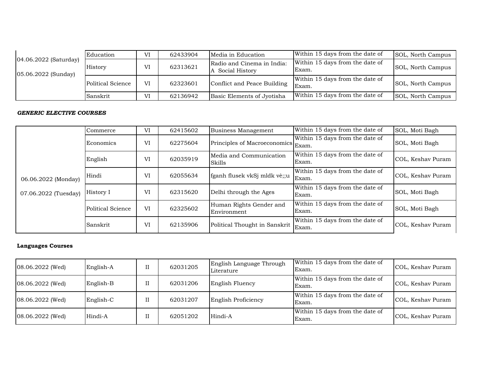| 04.06.2022 (Saturday)<br>05.06.2022 (Sunday) | Education         | VI | 62433904 | Media in Education                           | Within 15 days from the date of          | SOL, North Campus |
|----------------------------------------------|-------------------|----|----------|----------------------------------------------|------------------------------------------|-------------------|
|                                              | History           | VI | 62313621 | Radio and Cinema in India:<br>Social History | Within 15 days from the date of<br>Exam. | SOL, North Campus |
|                                              | Political Science | VI | 62323601 | Conflict and Peace Building                  | Within 15 days from the date of<br>Exam. | SOL, North Campus |
|                                              | Sanskrit          | VI | 62136942 | Basic Elements of Jyotisha                   | Within 15 days from the date of          | SOL, North Campus |
|                                              |                   |    |          |                                              |                                          |                   |

## *GENERIC ELECTIVE COURSES*

|                      | Commerce          | VI | 62415602 | Business Management                    | Within 15 days from the date of          | SOL, Moti Bagh    |
|----------------------|-------------------|----|----------|----------------------------------------|------------------------------------------|-------------------|
|                      | Economics         | VI | 62275604 | Principles of Macroeconomics Exam.     | Within 15 days from the date of          | SOL, Moti Bagh    |
|                      | English           | VI | 62035919 | Media and Communication<br>Skills      | Within 15 days from the date of<br>Exam. | COL, Keshav Puram |
| 06.06.2022 (Monday)  | Hindi             | VI | 62055634 | fganh flusek vkSj mldk vè;;u           | Within 15 days from the date of<br>Exam. | COL, Keshav Puram |
| 07.06.2022 (Tuesday) | History I         | VI | 62315620 | Delhi through the Ages                 | Within 15 days from the date of<br>Exam. | SOL, Moti Bagh    |
|                      | Political Science | VI | 62325602 | Human Rights Gender and<br>Environment | Within 15 days from the date of<br>Exam. | SOL, Moti Bagh    |
|                      | Sanskrit          | VI | 62135906 | Political Thought in Sanskrit          | Within 15 days from the date of<br>Exam. | COL, Keshav Puram |

### **Languages Courses**

| $08.06.2022$ (Wed) | English-A | 62031205 | English Language Through<br>Literature | Within 15 days from the date of<br>Exam. | COL, Keshav Puram |
|--------------------|-----------|----------|----------------------------------------|------------------------------------------|-------------------|
| 08.06.2022 (Wed)   | English-B | 62031206 | English Fluency                        | Within 15 days from the date of<br>Exam. | COL, Keshav Puram |
| $08.06.2022$ (Wed) | English-C | 62031207 | English Proficiency                    | Within 15 days from the date of<br>Exam. | COL, Keshav Puram |
| $08.06.2022$ (Wed) | Hindi-A   | 62051202 | Hindi-A                                | Within 15 days from the date of<br>Exam. | COL, Keshav Puram |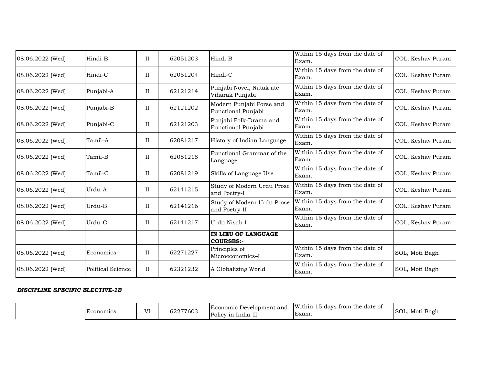| 08.06.2022 (Wed) | Hindi-B                  | $\rm II$    | 62051203 | Hindi-B                                        | Within 15 days from the date of<br>Exam. | COL, Keshav Puram |
|------------------|--------------------------|-------------|----------|------------------------------------------------|------------------------------------------|-------------------|
| 08.06.2022 (Wed) | Hindi-C                  | $\rm II$    | 62051204 | Hindi-C                                        | Within 15 days from the date of<br>Exam. | COL, Keshav Puram |
| 08.06.2022 (Wed) | Punjabi-A                | $\rm II$    | 62121214 | Punjabi Novel, Natak ate<br>Viharak Punjabi    | Within 15 days from the date of<br>Exam. | COL, Keshav Puram |
| 08.06.2022 (Wed) | Punjabi-B                | $_{\rm II}$ | 62121202 | Modern Punjabi Porse and<br>Functional Punjabi | Within 15 days from the date of<br>Exam. | COL, Keshav Puram |
| 08.06.2022 (Wed) | Punjabi-C                | $\rm II$    | 62121203 | Punjabi Folk-Drama and<br>Functional Punjabi   | Within 15 days from the date of<br>Exam. | COL, Keshav Puram |
| 08.06.2022 (Wed) | Tamil-A                  | $\rm II$    | 62081217 | History of Indian Language                     | Within 15 days from the date of<br>Exam. | COL, Keshav Puram |
| 08.06.2022 (Wed) | Tamil-B                  | $\rm II$    | 62081218 | Functional Grammar of the<br>Language          | Within 15 days from the date of<br>Exam. | COL, Keshav Puram |
| 08.06.2022 (Wed) | Tamil-C                  | $\rm II$    | 62081219 | Skills of Language Use                         | Within 15 days from the date of<br>Exam. | COL, Keshav Puram |
| 08.06.2022 (Wed) | Urdu-A                   | $\rm II$    | 62141215 | Study of Modern Urdu Prose<br>and Poetry-I     | Within 15 days from the date of<br>Exam. | COL, Keshav Puram |
| 08.06.2022 (Wed) | Urdu-B                   | $\rm II$    | 62141216 | Study of Modern Urdu Prose<br>and Poetry-II    | Within 15 days from the date of<br>Exam. | COL, Keshav Puram |
| 08.06.2022 (Wed) | Urdu-C                   | $\rm II$    | 62141217 | Urdu Nisab-I                                   | Within 15 days from the date of<br>Exam. | COL, Keshav Puram |
|                  |                          |             |          | IN LIEU OF LANGUAGE<br><b>COURSES:-</b>        |                                          |                   |
| 08.06.2022 (Wed) | Economics                | $\rm II$    | 62271227 | Principles of<br>Microeconomics-I              | Within 15 days from the date of<br>Exam. | SOL, Moti Bagh    |
| 08.06.2022 (Wed) | <b>Political Science</b> | $\rm II$    | 62321232 | A Globalizing World                            | Within 15 days from the date of<br>Exam. | SOL, Moti Bagh    |

#### *DISCIPLINE SPECIFIC ELECTIVE-1B*

| <b>Economics</b> | T T | COOTTCOO<br>$\sim$<br>022<br>. UU | Economic<br>Development<br>t and<br>$\overline{\phantom{a}}$<br>Policy in<br>-India<br>. | $1 + 1 + 1$<br>- -<br>W1ti<br>trom<br>i the date of<br>davs<br>:hir<br>Exam. | $\cdot$ . $\sim$<br>SOL.<br>Bagh<br>Moti<br>. . |
|------------------|-----|-----------------------------------|------------------------------------------------------------------------------------------|------------------------------------------------------------------------------|-------------------------------------------------|
|------------------|-----|-----------------------------------|------------------------------------------------------------------------------------------|------------------------------------------------------------------------------|-------------------------------------------------|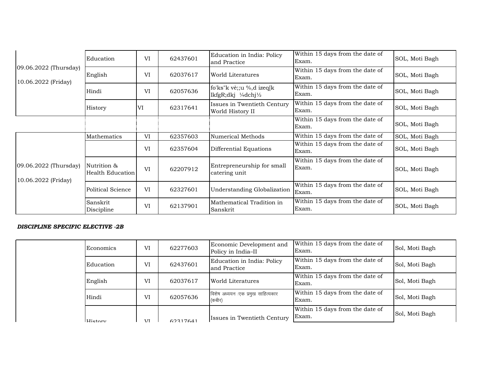|                                              | Education                       | VI | 62437601 | Education in India: Policy<br>and Practice                                        | Within 15 days from the date of<br>Exam. | SOL, Moti Bagh |
|----------------------------------------------|---------------------------------|----|----------|-----------------------------------------------------------------------------------|------------------------------------------|----------------|
| 09.06.2022 (Thursday)<br>10.06.2022 (Friday) | English                         | VI | 62037617 | World Literatures                                                                 | Within 15 days from the date of<br>Exam. | SOL, Moti Bagh |
|                                              | Hindi                           | VI | 62057636 | fo'ks" $k$ vè;; $u \%$ , d izeq $k$<br>lkfgR;dkj $\frac{1}{4}$ dchj $\frac{1}{2}$ | Within 15 days from the date of<br>Exam. | SOL, Moti Bagh |
|                                              | History                         | VI | 62317641 | Issues in Twentieth Century<br>World History II                                   | Within 15 days from the date of<br>Exam. | SOL, Moti Bagh |
|                                              |                                 |    |          |                                                                                   | Within 15 days from the date of<br>Exam. | SOL, Moti Bagh |
|                                              | Mathematics                     | VI | 62357603 | Numerical Methods                                                                 | Within 15 days from the date of          | SOL, Moti Bagh |
|                                              |                                 | VI | 62357604 | Differential Equations                                                            | Within 15 days from the date of<br>Exam. | SOL, Moti Bagh |
| 09.06.2022 (Thursday)<br>10.06.2022 (Friday) | Nutrition &<br>Health Education | VI | 62207912 | Entrepreneurship for small<br>catering unit                                       | Within 15 days from the date of<br>Exam. | SOL, Moti Bagh |
|                                              | Political Science               | VI | 62327601 | Understanding Globalization                                                       | Within 15 days from the date of<br>Exam. | SOL, Moti Bagh |
|                                              | Sanskrit<br>Discipline          | VI | 62137901 | Mathematical Tradition in<br>Sanskrit                                             | Within 15 days from the date of<br>Exam. | SOL, Moti Bagh |

#### *DISCIPLINE SPECIFIC ELECTIVE -2B*

| Economics | VI             | 62277603 | Economic Development and<br>Policy in India-II | Within 15 days from the date of<br>Exam. | Sol, Moti Bagh |
|-----------|----------------|----------|------------------------------------------------|------------------------------------------|----------------|
| Education | VI             | 62437601 | Education in India: Policy<br>and Practice     | Within 15 days from the date of<br>Exam. | Sol, Moti Bagh |
| English   | VI<br>62037617 |          | World Literatures                              | Within 15 days from the date of<br>Exam. | Sol, Moti Bagh |
| Hindi     | VI             | 62057636 | विशेष अध्ययन :एक प्रमुख साहित्यकार<br>(कबीर)   | Within 15 days from the date of<br>Exam. | Sol, Moti Bagh |
| History   | <b>AZT</b>     | 62317641 | Issues in Twentieth Century                    | Within 15 days from the date of<br>Exam. | Sol, Moti Bagh |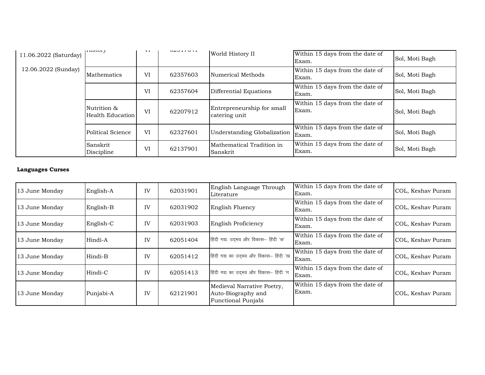| 11.06.2022 (Saturday) | <b>THOMMY</b>                   | V 1 | U4U I I UTI | World History II                            | Within 15 days from the date of<br>Exam. | Sol, Moti Bagh |
|-----------------------|---------------------------------|-----|-------------|---------------------------------------------|------------------------------------------|----------------|
| 12.06.2022 (Sunday)   | Mathematics                     | VI  | 62357603    | Numerical Methods                           | Within 15 days from the date of<br>Exam. | Sol, Moti Bagh |
|                       |                                 | VI  | 62357604    | Differential Equations                      | Within 15 days from the date of<br>Exam. | Sol, Moti Bagh |
|                       | Nutrition &<br>Health Education | VI  | 62207912    | Entrepreneurship for small<br>catering unit | Within 15 days from the date of<br>Exam. | Sol, Moti Bagh |
|                       | Political Science               | VI  | 62327601    | Understanding Globalization                 | Within 15 days from the date of<br>Exam. | Sol, Moti Bagh |
|                       | Sanskrit<br>Discipline          | VI  | 62137901    | Mathematical Tradition in<br>Sanskrit       | Within 15 days from the date of<br>Exam. | Sol, Moti Bagh |

## **Languages Curses**

| 13 June Monday | English-A | IV | 62031901 | English Language Through<br>Literature                                 | Within 15 days from the date of<br>Exam. | COL, Keshav Puram |
|----------------|-----------|----|----------|------------------------------------------------------------------------|------------------------------------------|-------------------|
| 13 June Monday | English-B | IV | 62031902 | English Fluency                                                        | Within 15 days from the date of<br>Exam. | COL, Keshav Puram |
| 13 June Monday | English-C | IV | 62031903 | English Proficiency                                                    | Within 15 days from the date of<br>Exam. | COL, Keshav Puram |
| 13 June Monday | Hindi-A   | IV | 62051404 | हिंदी गद्यः उदभव और विकास- हिंदी 'क'                                   | Within 15 days from the date of<br>Exam. | COL, Keshav Puram |
| 13 June Monday | Hindi-B   | IV | 62051412 | हिंदी गद्य का उद्भव और विकास- हिंदी 'ख                                 | Within 15 days from the date of<br>Exam. | COL, Keshav Puram |
| 13 June Monday | Hindi-C   | IV | 62051413 | हिंदी गद्य का उदमव और विकास- हिंदी 'ग                                  | Within 15 days from the date of<br>Exam. | COL, Keshav Puram |
| 13 June Monday | Punjabi-A | IV | 62121901 | Medieval Narrative Poetry,<br>Auto-Biography and<br>Functional Punjabi | Within 15 days from the date of<br>Exam. | COL, Keshav Puram |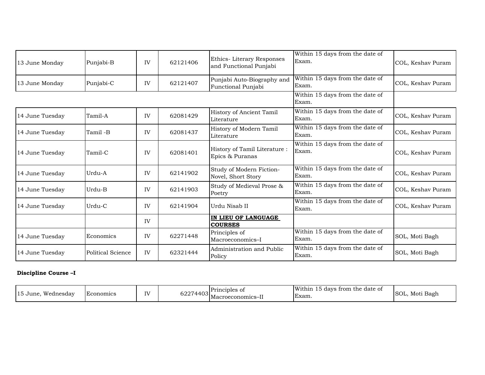| 13 June Monday  | Punjabi-B         | IV | 62121406 | Ethics-Literary Responses<br>and Functional Punjabi | Within 15 days from the date of<br>Exam. | COL, Keshav Puram |
|-----------------|-------------------|----|----------|-----------------------------------------------------|------------------------------------------|-------------------|
| 13 June Monday  | Punjabi-C         | IV | 62121407 | Punjabi Auto-Biography and<br>Functional Punjabi    | Within 15 days from the date of<br>Exam. | COL, Keshav Puram |
|                 |                   |    |          |                                                     | Within 15 days from the date of<br>Exam. |                   |
| 14 June Tuesday | Tamil-A           | IV | 62081429 | History of Ancient Tamil<br>Literature              | Within 15 days from the date of<br>Exam. | COL, Keshav Puram |
| 14 June Tuesday | Tamil-B           | IV | 62081437 | History of Modern Tamil<br>Literature               | Within 15 days from the date of<br>Exam. | COL, Keshav Puram |
| 14 June Tuesday | Tamil-C           | IV | 62081401 | History of Tamil Literature:<br>Epics & Puranas     | Within 15 days from the date of<br>Exam. | COL, Keshav Puram |
| 14 June Tuesday | Urdu-A            | IV | 62141902 | Study of Modern Fiction-<br>Novel, Short Story      | Within 15 days from the date of<br>Exam. | COL, Keshav Puram |
| 14 June Tuesday | Urdu-B            | IV | 62141903 | Study of Medieval Prose &<br>Poetry                 | Within 15 days from the date of<br>Exam. | COL, Keshav Puram |
| 14 June Tuesday | Urdu-C            | IV | 62141904 | Urdu Nisab II                                       | Within 15 days from the date of<br>Exam. | COL, Keshav Puram |
|                 |                   | IV |          | IN LIEU OF LANGUAGE<br><b>COURSES</b>               |                                          |                   |
| 14 June Tuesday | Economics         | IV | 62271448 | Principles of<br>Macroeconomics-I                   | Within 15 days from the date of<br>Exam. | SOL, Moti Bagh    |
| 14 June Tuesday | Political Science | IV | 62321444 | Administration and Public<br>Policy                 | Within 15 days from the date of<br>Exam. | SOL, Moti Bagh    |

## **Discipline Course –I**

| $\sim$<br><b>TTT</b><br>. Wednesdav<br>. 15 June | <b>Economics</b> | IV | - ''<br>622<br>. | Principles of<br> Macroeconomics–II | Within 15<br>trom<br>the date of<br>davs<br>Exam. | $\overline{\phantom{a}}$<br>ISOL.<br>Bagh<br>Moti |
|--------------------------------------------------|------------------|----|------------------|-------------------------------------|---------------------------------------------------|---------------------------------------------------|
|--------------------------------------------------|------------------|----|------------------|-------------------------------------|---------------------------------------------------|---------------------------------------------------|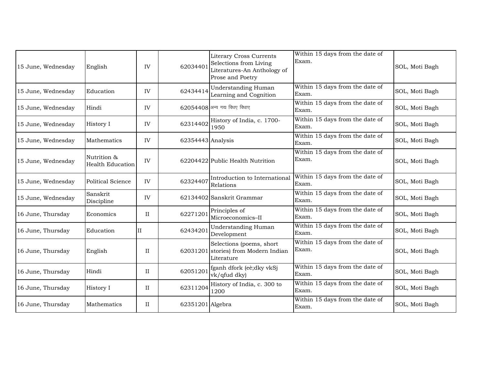| 15 June, Wednesday | English                                | IV       | 62034401            | <b>Literary Cross Currents</b><br>Selections from Living<br>Literatures-An Anthology of<br>Prose and Poetry | Within 15 days from the date of<br>Exam. | SOL, Moti Bagh |
|--------------------|----------------------------------------|----------|---------------------|-------------------------------------------------------------------------------------------------------------|------------------------------------------|----------------|
| 15 June, Wednesday | Education                              | IV       | 62434414            | <b>Understanding Human</b><br>Learning and Cognition                                                        | Within 15 days from the date of<br>Exam. | SOL, Moti Bagh |
| 15 June, Wednesday | Hindi                                  | IV       |                     | 62054408 अन्य गद्य विधए विधाए                                                                               | Within 15 days from the date of<br>Exam. | SOL, Moti Bagh |
| 15 June, Wednesday | History I                              | IV       | 62314402            | History of India, c. 1700-<br>1950                                                                          | Within 15 days from the date of<br>Exam. | SOL, Moti Bagh |
| 15 June, Wednesday | Mathematics                            | IV       | $62354443$ Analysis |                                                                                                             | Within 15 days from the date of<br>Exam. | SOL, Moti Bagh |
| 15 June, Wednesday | Nutrition &<br><b>Health Education</b> | IV       |                     | 62204422 Public Health Nutrition                                                                            | Within 15 days from the date of<br>Exam. | SOL, Moti Bagh |
| 15 June, Wednesday | <b>Political Science</b>               | IV       | 62324407            | Introduction to International<br>Relations                                                                  | Within 15 days from the date of<br>Exam. | SOL, Moti Bagh |
| 15 June, Wednesday | Sanskrit<br>Discipline                 | IV       |                     | 62134402 Sanskrit Grammar                                                                                   | Within 15 days from the date of<br>Exam. | SOL, Moti Bagh |
| 16 June, Thursday  | Economics                              | $\rm II$ | 62271201            | Principles of<br>Microeconomics-II                                                                          | Within 15 days from the date of<br>Exam. | SOL, Moti Bagh |
| 16 June, Thursday  | Education                              | Π        | 62434201            | <b>Understanding Human</b><br>Development                                                                   | Within 15 days from the date of<br>Exam. | SOL, Moti Bagh |
| 16 June, Thursday  | English                                | $\rm II$ | 62031201            | Selections (poems, short<br>stories) from Modern Indian<br>Literature                                       | Within 15 days from the date of<br>Exam. | SOL, Moti Bagh |
| 16 June, Thursday  | Hindi                                  | $\rm II$ | 62051201            | fganh dfork (eè;dky vkSj<br>vk/qfud dky)                                                                    | Within 15 days from the date of<br>Exam. | SOL, Moti Bagh |
| 16 June, Thursday  | History I                              | $\rm II$ | 62311204            | History of India, c. 300 to<br>1200                                                                         | Within 15 days from the date of<br>Exam. | SOL, Moti Bagh |
| 16 June, Thursday  | Mathematics                            | $\rm II$ | $62351201$ Algebra  |                                                                                                             | Within 15 days from the date of<br>Exam. | SOL, Moti Bagh |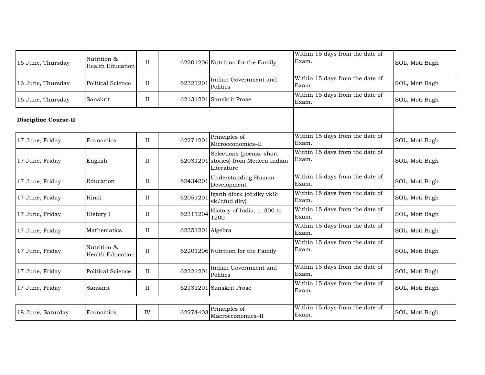| 16 June, Thursday           | Nutrition &<br><b>Health Education</b> | $_{\rm II}$ |                  | 62201206 Nutrition for the Family                                     | Within 15 days from the date of<br>Exam. | SOL, Moti Bagh |
|-----------------------------|----------------------------------------|-------------|------------------|-----------------------------------------------------------------------|------------------------------------------|----------------|
| 16 June, Thursday           | Political Science                      | $_{\rm II}$ | 62321201         | Indian Government and<br>Politics                                     | Within 15 days from the date of<br>Exam. | SOL, Moti Bagh |
| 16 June, Thursday           | Sanskrit                               | $\rm II$    |                  | 62131201 Sanskrit Prose                                               | Within 15 days from the date of<br>Exam. | SOL, Moti Bagh |
| <b>Discipline Course-II</b> |                                        |             |                  |                                                                       |                                          |                |
| 17 June, Friday             | Economics                              | $\rm II$    | 62271201         | Principles of<br>Microeconomics-II                                    | Within 15 days from the date of<br>Exam. | SOL, Moti Bagh |
| 17 June, Friday             | English                                | $_{\rm II}$ | 62031201         | Selections (poems, short<br>stories) from Modern Indian<br>Literature | Within 15 days from the date of<br>Exam. | SOL, Moti Bagh |
| 17 June, Friday             | Education                              | $\rm II$    | 62434201         | <b>Understanding Human</b><br>Development                             | Within 15 days from the date of<br>Exam. | SOL, Moti Bagh |
| 17 June, Friday             | Hindi                                  | $\rm II$    | 62051201         | fganh dfork (eè;dky vkSj<br>vk/qfud dky)                              | Within 15 days from the date of<br>Exam. | SOL, Moti Bagh |
| 17 June, Friday             | History I                              | $\rm II$    | 62311204         | History of India, c. 300 to<br>1200                                   | Within 15 days from the date of<br>Exam. | SOL, Moti Bagh |
| 17 June, Friday             | Mathematics                            | $_{\rm II}$ | 62351201 Algebra |                                                                       | Within 15 days from the date of<br>Exam. | SOL, Moti Bagh |
| 17 June, Friday             | Nutrition &<br><b>Health Education</b> | $_{\rm II}$ |                  | 62201206 Nutrition for the Family                                     | Within 15 days from the date of<br>Exam. | SOL, Moti Bagh |
| 17 June, Friday             | Political Science                      | $\rm II$    | 62321201         | Indian Government and<br>Politics                                     | Within 15 days from the date of<br>Exam. | SOL, Moti Bagh |
| 17 June, Friday             | Sanskrit                               | $\rm II$    |                  | 62131201 Sanskrit Prose                                               | Within 15 days from the date of<br>Exam. | SOL, Moti Bagh |
|                             |                                        |             |                  |                                                                       |                                          |                |
| 18 June, Saturday           | Economics                              | IV          | 62274403         | Principles of<br>Macroeconomics-II                                    | Within 15 days from the date of<br>Exam. | SOL, Moti Bagh |